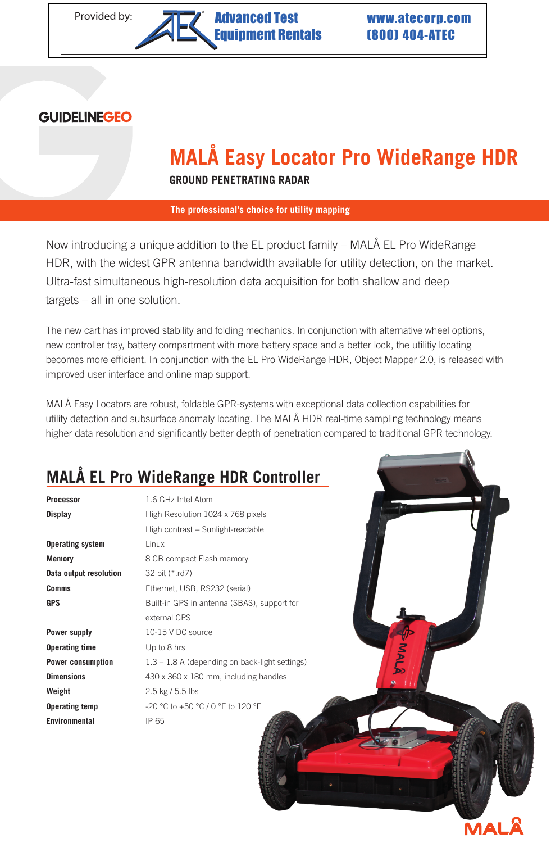#### **GUIDELINEGEO**

# **MALÅ Easy Locator Pro WideRange HDR**

**GROUND PENETRATING RADAR**

**The professional's choice for utility mapping**

Now introducing a unique addition to the EL product family – MALÅ EL Pro WideRange HDR, with the widest GPR antenna bandwidth available for utility detection, on the market. Ultra-fast simultaneous high-resolution data acquisition for both shallow and deep targets – all in one solution.

The new cart has improved stability and folding mechanics. In conjunction with alternative wheel options, new controller tray, battery compartment with more battery space and a better lock, the utilitiy locating becomes more efficient. In conjunction with the EL Pro WideRange HDR, Object Mapper 2.0, is released with improved user interface and online map support.

MALÅ Easy Locators are robust, foldable GPR-systems with exceptional data collection capabilities for utility detection and subsurface anomaly locating. The MALÅ HDR real-time sampling technology means higher data resolution and significantly better depth of penetration compared to traditional GPR technology.

### **MALÅ EL Pro WideRange HDR Controller**

| Processor                | 1.6 GHz Intel Atom                               |
|--------------------------|--------------------------------------------------|
| Display                  | High Resolution 1024 x 768 pixels                |
|                          | High contrast - Sunlight-readable                |
| <b>Operating system</b>  | Linux                                            |
| <b>Memory</b>            | 8 GB compact Flash memory                        |
| Data output resolution   | 32 bit (*.rd7)                                   |
| Comms                    | Ethernet, USB, RS232 (serial)                    |
| <b>GPS</b>               | Built-in GPS in antenna (SBAS), support for      |
|                          | external GPS                                     |
| Power supply             | 10-15 V DC source                                |
| <b>Operating time</b>    | Up to 8 hrs                                      |
| <b>Power consumption</b> | $1.3 - 1.8$ A (depending on back-light settings) |
| <b>Dimensions</b>        | 430 x 360 x 180 mm, including handles            |
| Weight                   | 2.5 kg / 5.5 lbs                                 |
| <b>Operating temp</b>    | -20 °C to +50 °C / 0 °F to 120 °F                |
| <b>Environmental</b>     | IP 65                                            |